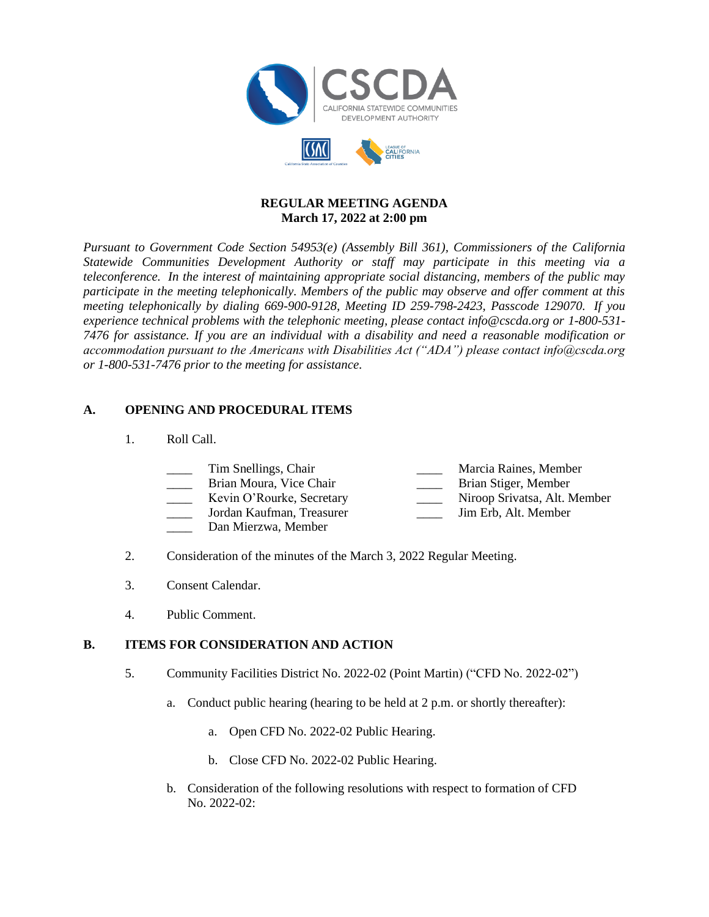

### **REGULAR MEETING AGENDA March 17, 2022 at 2:00 pm**

*Pursuant to Government Code Section 54953(e) (Assembly Bill 361), Commissioners of the California Statewide Communities Development Authority or staff may participate in this meeting via a teleconference. In the interest of maintaining appropriate social distancing, members of the public may participate in the meeting telephonically. Members of the public may observe and offer comment at this meeting telephonically by dialing 669-900-9128, Meeting ID 259-798-2423, Passcode 129070. If you experience technical problems with the telephonic meeting, please contact info@cscda.org or 1-800-531- 7476 for assistance. If you are an individual with a disability and need a reasonable modification or accommodation pursuant to the Americans with Disabilities Act ("ADA") please contact info@cscda.org or 1-800-531-7476 prior to the meeting for assistance.*

### **A. OPENING AND PROCEDURAL ITEMS**

1. Roll Call.

| Tim Snellings, Chair      | Marcia Raines, Member        |
|---------------------------|------------------------------|
|                           |                              |
| Brian Moura, Vice Chair   | Brian Stiger, Member         |
| Kevin O'Rourke, Secretary | Niroop Srivatsa, Alt. Member |
| Jordan Kaufman, Treasurer | Jim Erb, Alt. Member         |

- Dan Mierzwa, Member
- 2. Consideration of the minutes of the March 3, 2022 Regular Meeting.
- 3. Consent Calendar.
- 4. Public Comment.

#### **B. ITEMS FOR CONSIDERATION AND ACTION**

- 5. Community Facilities District No. 2022-02 (Point Martin) ("CFD No. 2022-02")
	- a. Conduct public hearing (hearing to be held at 2 p.m. or shortly thereafter):
		- a. Open CFD No. 2022-02 Public Hearing.
		- b. Close CFD No. 2022-02 Public Hearing.
	- b. Consideration of the following resolutions with respect to formation of CFD No. 2022-02: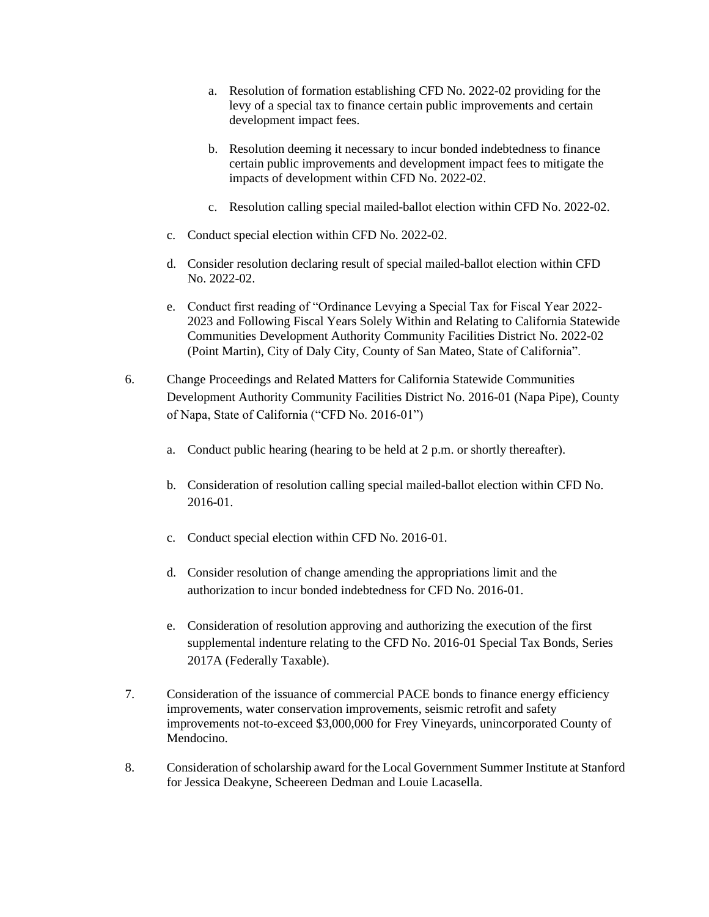- a. Resolution of formation establishing CFD No. 2022-02 providing for the levy of a special tax to finance certain public improvements and certain development impact fees.
- b. Resolution deeming it necessary to incur bonded indebtedness to finance certain public improvements and development impact fees to mitigate the impacts of development within CFD No. 2022-02.
- c. Resolution calling special mailed-ballot election within CFD No. 2022-02.
- c. Conduct special election within CFD No. 2022-02.
- d. Consider resolution declaring result of special mailed-ballot election within CFD No. 2022-02.
- e. Conduct first reading of "Ordinance Levying a Special Tax for Fiscal Year 2022- 2023 and Following Fiscal Years Solely Within and Relating to California Statewide Communities Development Authority Community Facilities District No. 2022-02 (Point Martin), City of Daly City, County of San Mateo, State of California".
- 6. Change Proceedings and Related Matters for California Statewide Communities Development Authority Community Facilities District No. 2016-01 (Napa Pipe), County of Napa, State of California ("CFD No. 2016-01")
	- a. Conduct public hearing (hearing to be held at 2 p.m. or shortly thereafter).
	- b. Consideration of resolution calling special mailed-ballot election within CFD No. 2016-01.
	- c. Conduct special election within CFD No. 2016-01.
	- d. Consider resolution of change amending the appropriations limit and the authorization to incur bonded indebtedness for CFD No. 2016-01.
	- e. Consideration of resolution approving and authorizing the execution of the first supplemental indenture relating to the CFD No. 2016-01 Special Tax Bonds, Series 2017A (Federally Taxable).
- 7. Consideration of the issuance of commercial PACE bonds to finance energy efficiency improvements, water conservation improvements, seismic retrofit and safety improvements not-to-exceed \$3,000,000 for Frey Vineyards, unincorporated County of Mendocino.
- 8. Consideration of scholarship award for the Local Government Summer Institute at Stanford for Jessica Deakyne, Scheereen Dedman and Louie Lacasella.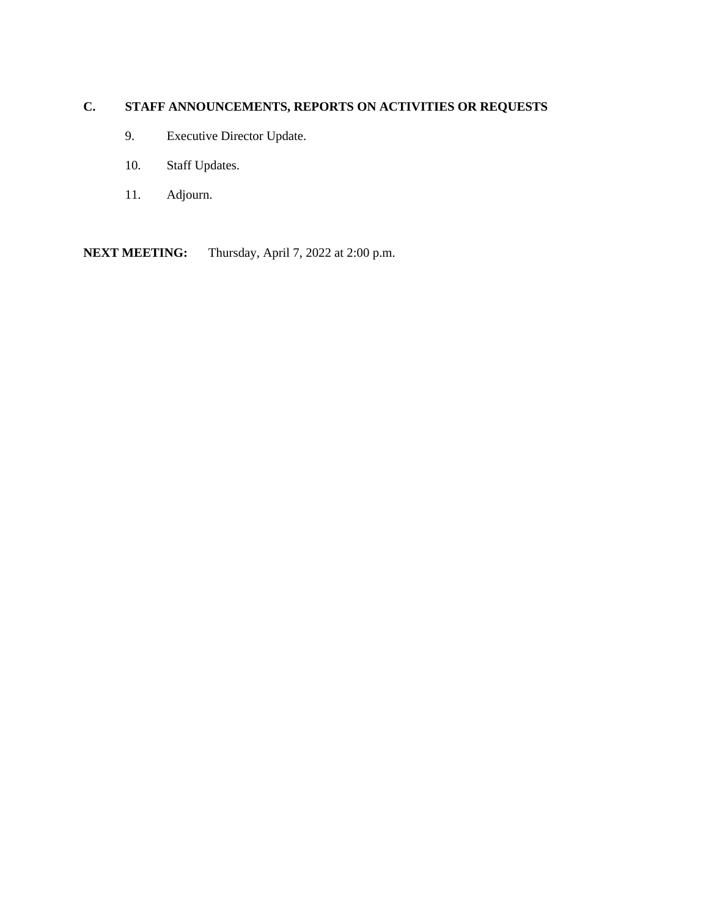# **C. STAFF ANNOUNCEMENTS, REPORTS ON ACTIVITIES OR REQUESTS**

- 9. Executive Director Update.
- 10. Staff Updates.
- 11. Adjourn.

**NEXT MEETING:** Thursday, April 7, 2022 at 2:00 p.m.